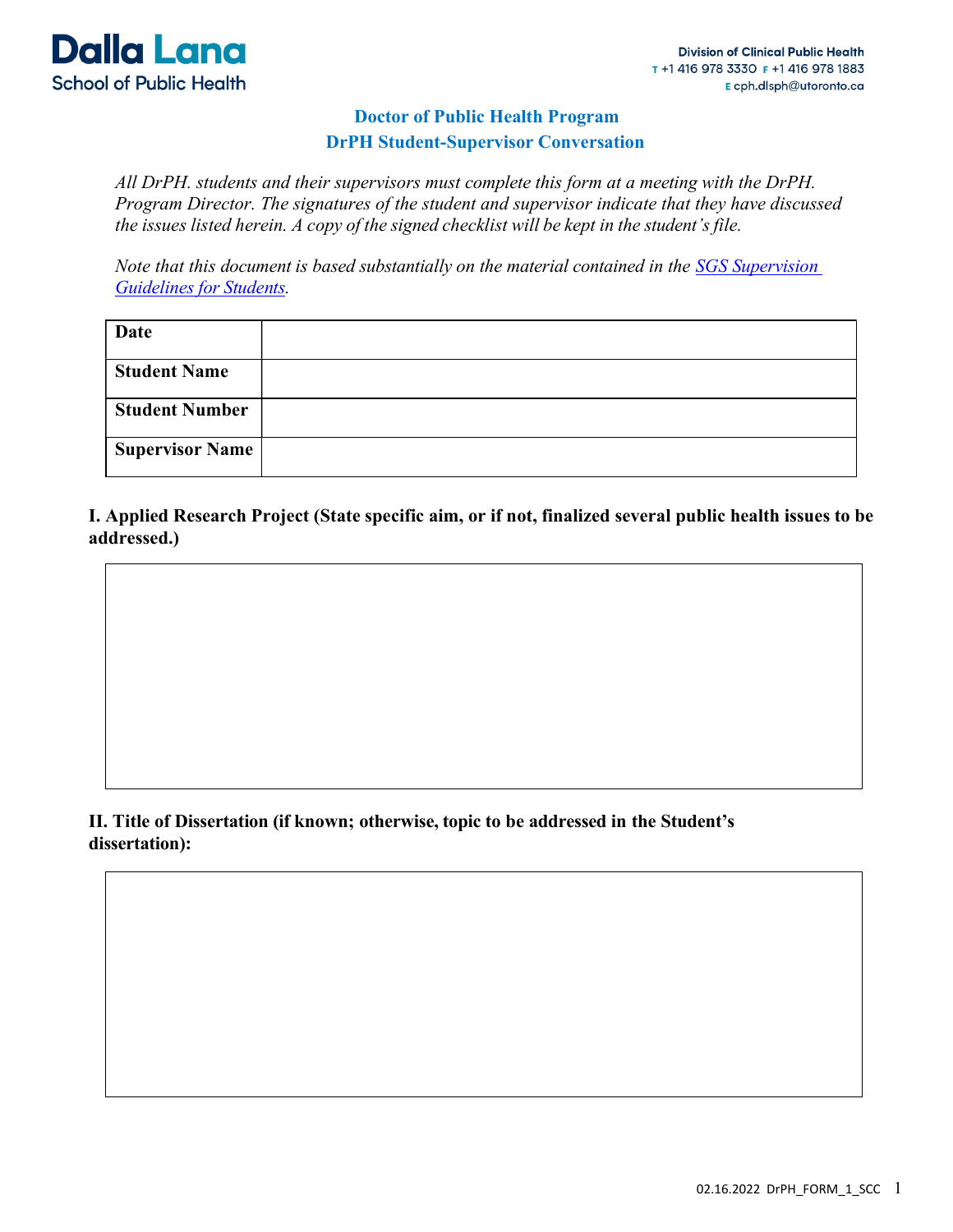

## Doctor of Public Health Program DrPH Student-Supervisor Conversation

All DrPH. students and their supervisors must complete this form at a meeting with the DrPH. Program Director. The signatures of the student and supervisor indicate that they have discussed the issues listed herein. A copy of the signed checklist will be kept in the student's file.

Note that this document is based substantially on the material contained in the SGS Supervision Guidelines for Students.

| Date                   |  |
|------------------------|--|
| <b>Student Name</b>    |  |
| <b>Student Number</b>  |  |
| <b>Supervisor Name</b> |  |

I. Applied Research Project (State specific aim, or if not, finalized several public health issues to be addressed.)

### II. Title of Dissertation (if known; otherwise, topic to be addressed in the Student's dissertation):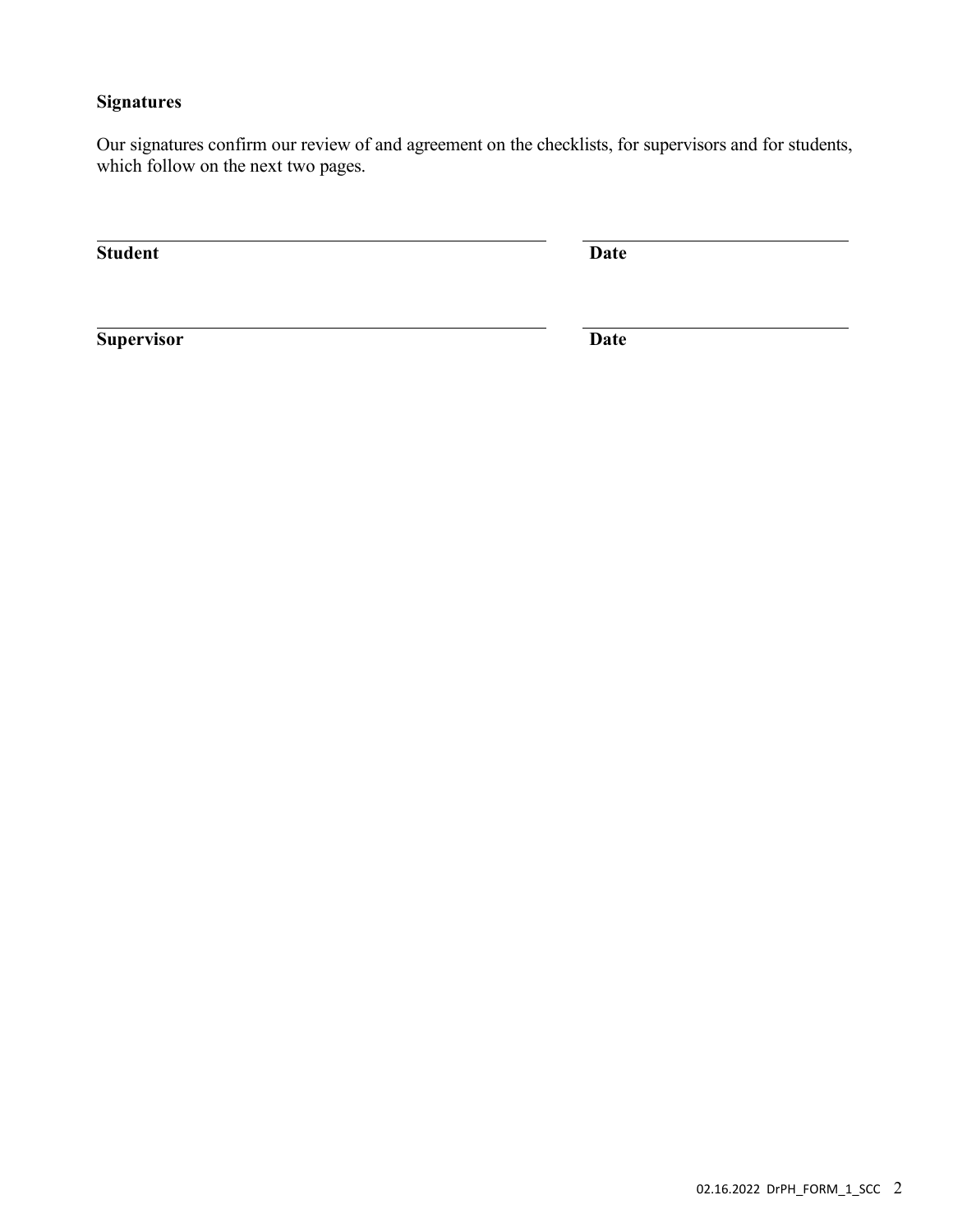### **Signatures**

Our signatures confirm our review of and agreement on the checklists, for supervisors and for students, which follow on the next two pages.

Student Date

Supervisor Date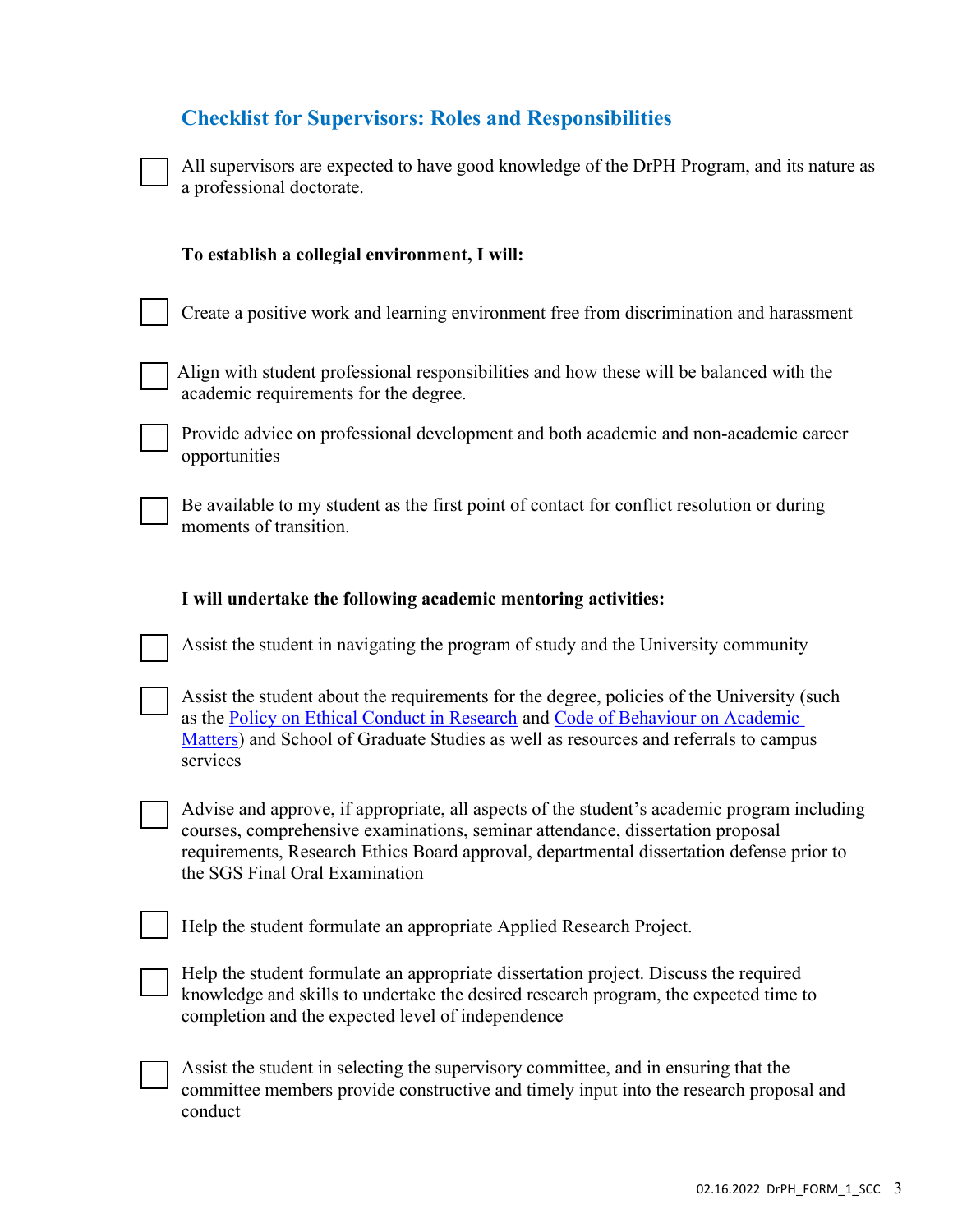|  |  | <b>Checklist for Supervisors: Roles and Responsibilities</b> |
|--|--|--------------------------------------------------------------|
|  |  |                                                              |

| All supervisors are expected to have good knowledge of the DrPH Program, and its nature as |
|--------------------------------------------------------------------------------------------|
| a professional doctorate.                                                                  |

| To establish a collegial environment, I will:                                                                                                                                                                                                                                                               |
|-------------------------------------------------------------------------------------------------------------------------------------------------------------------------------------------------------------------------------------------------------------------------------------------------------------|
| Create a positive work and learning environment free from discrimination and harassment                                                                                                                                                                                                                     |
| Align with student professional responsibilities and how these will be balanced with the<br>academic requirements for the degree.                                                                                                                                                                           |
| Provide advice on professional development and both academic and non-academic career<br>opportunities                                                                                                                                                                                                       |
| Be available to my student as the first point of contact for conflict resolution or during<br>moments of transition.                                                                                                                                                                                        |
| I will undertake the following academic mentoring activities:                                                                                                                                                                                                                                               |
| Assist the student in navigating the program of study and the University community                                                                                                                                                                                                                          |
| Assist the student about the requirements for the degree, policies of the University (such<br>as the Policy on Ethical Conduct in Research and Code of Behaviour on Academic<br>Matters) and School of Graduate Studies as well as resources and referrals to campus<br>services                            |
| Advise and approve, if appropriate, all aspects of the student's academic program including<br>courses, comprehensive examinations, seminar attendance, dissertation proposal<br>requirements, Research Ethics Board approval, departmental dissertation defense prior to<br>the SGS Final Oral Examination |
| Help the student formulate an appropriate Applied Research Project.                                                                                                                                                                                                                                         |
| Help the student formulate an appropriate dissertation project. Discuss the required<br>knowledge and skills to undertake the desired research program, the expected time to<br>completion and the expected level of independence                                                                           |
| Assist the student in selecting the supervisory committee, and in ensuring that the<br>committee members provide constructive and timely input into the research proposal and<br>conduct                                                                                                                    |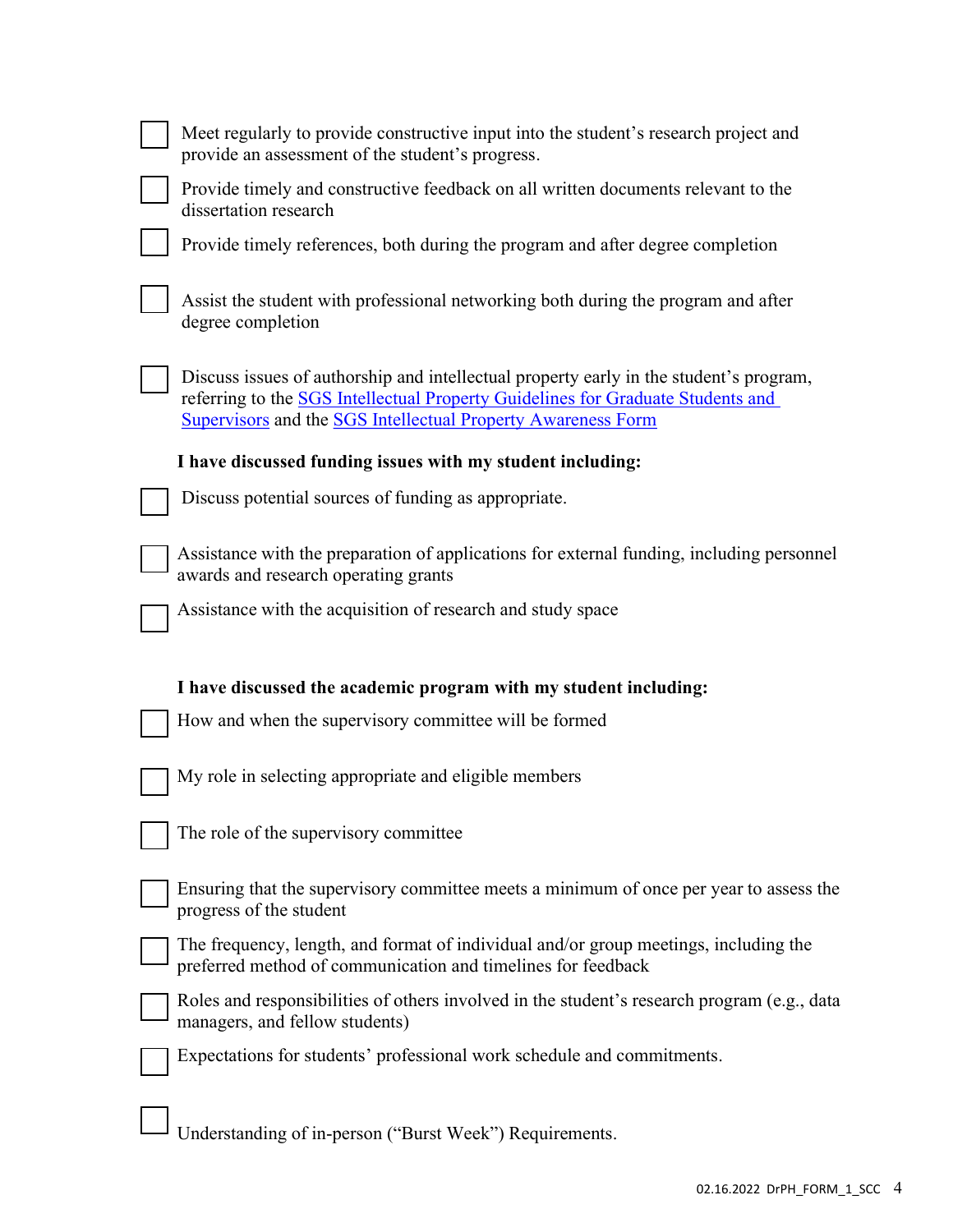| Meet regularly to provide constructive input into the student's research project and<br>provide an assessment of the student's progress.                                                                                                         |
|--------------------------------------------------------------------------------------------------------------------------------------------------------------------------------------------------------------------------------------------------|
| Provide timely and constructive feedback on all written documents relevant to the<br>dissertation research                                                                                                                                       |
| Provide timely references, both during the program and after degree completion                                                                                                                                                                   |
| Assist the student with professional networking both during the program and after<br>degree completion                                                                                                                                           |
| Discuss issues of authorship and intellectual property early in the student's program,<br>referring to the SGS Intellectual Property Guidelines for Graduate Students and<br><b>Supervisors and the SGS Intellectual Property Awareness Form</b> |
| I have discussed funding issues with my student including:                                                                                                                                                                                       |
| Discuss potential sources of funding as appropriate.                                                                                                                                                                                             |
| Assistance with the preparation of applications for external funding, including personnel<br>awards and research operating grants                                                                                                                |
| Assistance with the acquisition of research and study space                                                                                                                                                                                      |
| I have discussed the academic program with my student including:                                                                                                                                                                                 |
| How and when the supervisory committee will be formed                                                                                                                                                                                            |
| My role in selecting appropriate and eligible members                                                                                                                                                                                            |
| The role of the supervisory committee                                                                                                                                                                                                            |
| Ensuring that the supervisory committee meets a minimum of once per year to assess the<br>progress of the student                                                                                                                                |
| The frequency, length, and format of individual and/or group meetings, including the<br>preferred method of communication and timelines for feedback                                                                                             |
| Roles and responsibilities of others involved in the student's research program (e.g., data                                                                                                                                                      |
| managers, and fellow students)                                                                                                                                                                                                                   |
| Expectations for students' professional work schedule and commitments.                                                                                                                                                                           |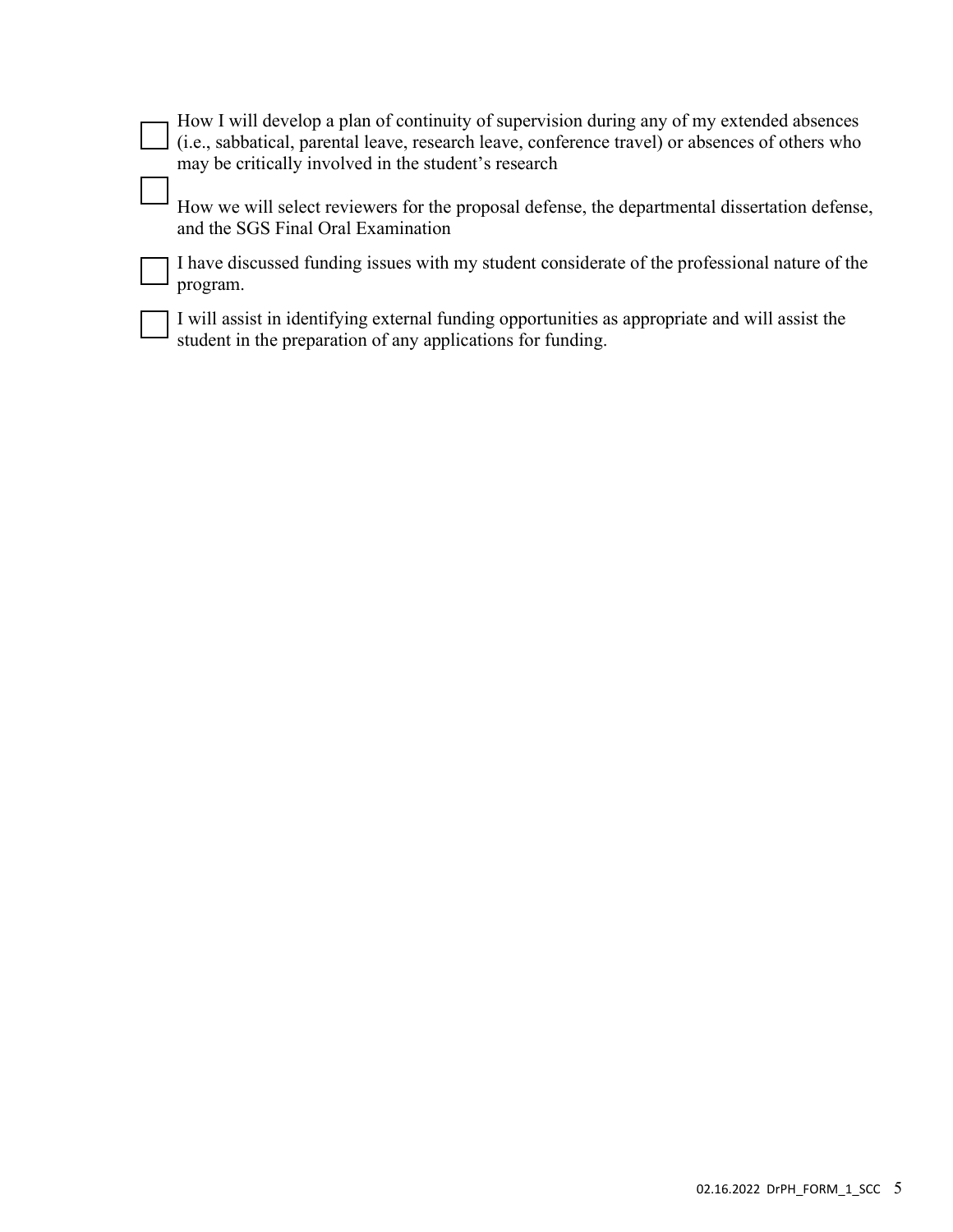| $\Box$ How I will develop a plan of continuity of supervision during any of my extended absences       |
|--------------------------------------------------------------------------------------------------------|
| $\Box$ (i.e., sabbatical, parental leave, research leave, conference travel) or absences of others who |
| may be critically involved in the student's research                                                   |

How we will select reviewers for the proposal defense, the departmental dissertation defense, and the SGS Final Oral Examination

I have discussed funding issues with my student considerate of the professional nature of the program.

I will assist in identifying external funding opportunities as appropriate and will assist the student in the preparation of any applications for funding.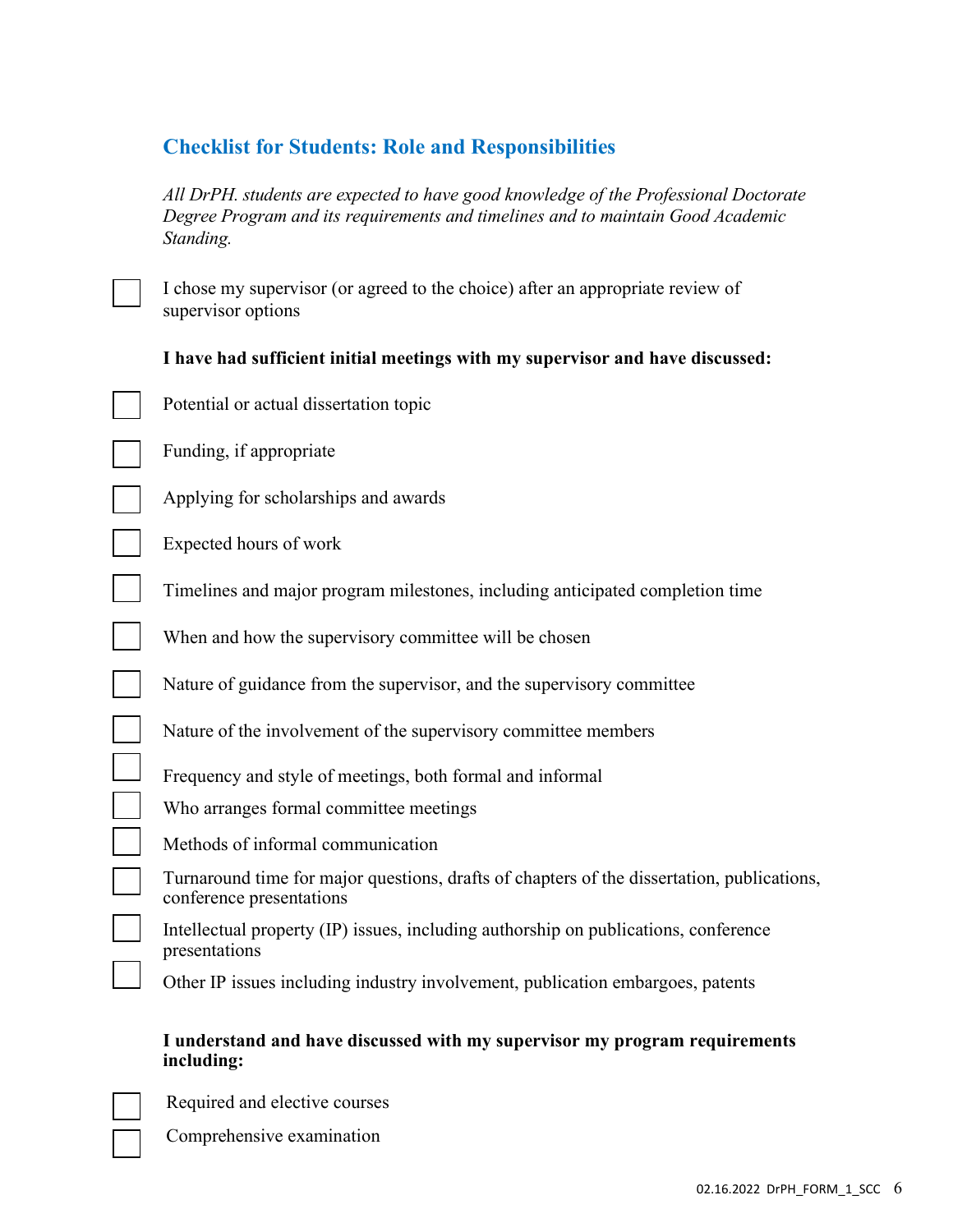# Checklist for Students: Role and Responsibilities

All DrPH. students are expected to have good knowledge of the Professional Doctorate Degree Program and its requirements and timelines and to maintain Good Academic Standing.

I chose my supervisor (or agreed to the choice) after an appropriate review of supervisor options

### I have had sufficient initial meetings with my supervisor and have discussed:

Potential or actual dissertation topic

Funding, if appropriate

Applying for scholarships and awards

Expected hours of work

 $\blacksquare$ 

Timelines and major program milestones, including anticipated completion time

When and how the supervisory committee will be chosen

Nature of guidance from the supervisor, and the supervisory committee

Nature of the involvement of the supervisory committee members

Frequency and style of meetings, both formal and informal

Who arranges formal committee meetings

Methods of informal communication

Turnaround time for major questions, drafts of chapters of the dissertation, publications, conference presentations

Intellectual property (IP) issues, including authorship on publications, conference presentations

Other IP issues including industry involvement, publication embargoes, patents

#### I understand and have discussed with my supervisor my program requirements including:

Required and elective courses

Comprehensive examination